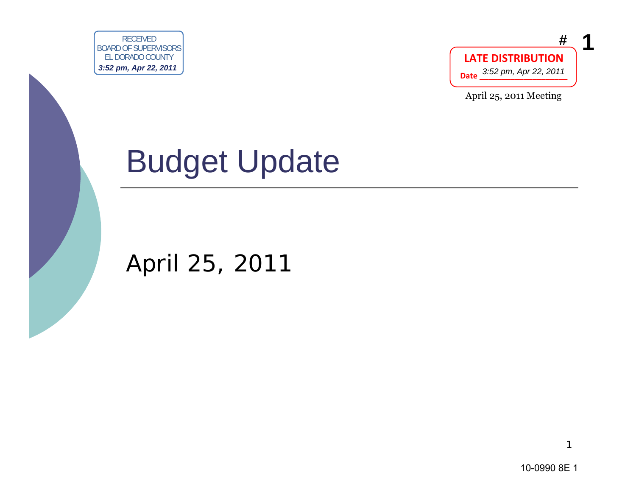



April 25, 2011 Meeting

# Budget Update EXPRESSIONS CONTROLLED CONTROLLED DEVICE COUNTY CONTROLLED CONTROLLED CONTROLLED CONTROLLED CONTROLLED CONTROLLED CONTROLLED CONTROLLED CONTROLLED CONTROLLED CONTROLLED CONTROLLED CONTROLLED CONTROLLED CONTROLLED CONTROLLE

April 25, 2011

10-0990 8E 1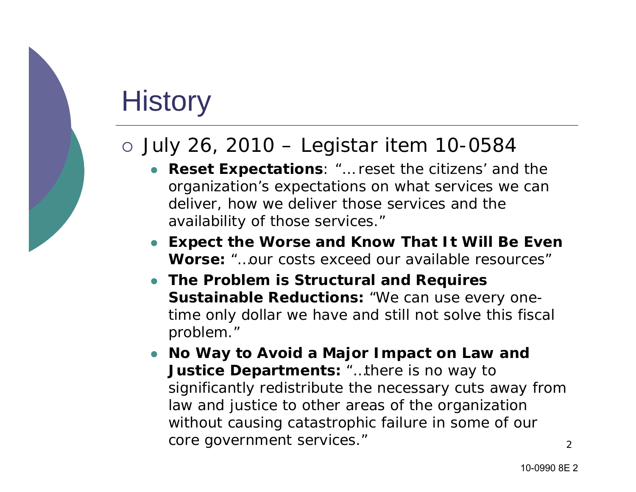#### **History**

#### { July 26, 2010 – Legistar item 10-0584

- **Reset Expectations**: "... reset the citizens' and the organization's expectations on what services we can deliver, how we deliver those services and the availability of those services."
- $\bullet$  **Expect the Worse and Know That It Will Be Even Worse:** "…our costs exceed our available resources"
- **The Problem is Structural and Requires Sustainable Reductions:** "We can use every onetime only dollar we have and still not solve this fiscal problem."
- 2 $\bullet$  **No Way to Avoid a Major Impact on Law and Justice Departments:** "…there is no way to significantly redistribute the necessary cuts away from law and justice to other areas of the organization without causing catastrophic failure in some of our core government services."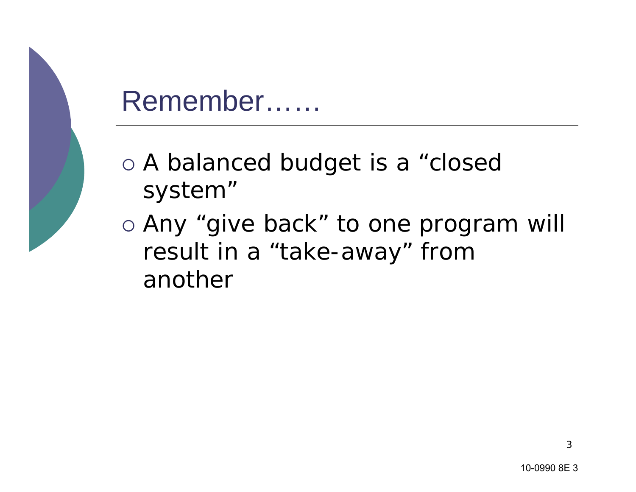## Remember……

- o A balanced budget is a "closed system"
- o Any "give back" to one program will result in a "take-away" from another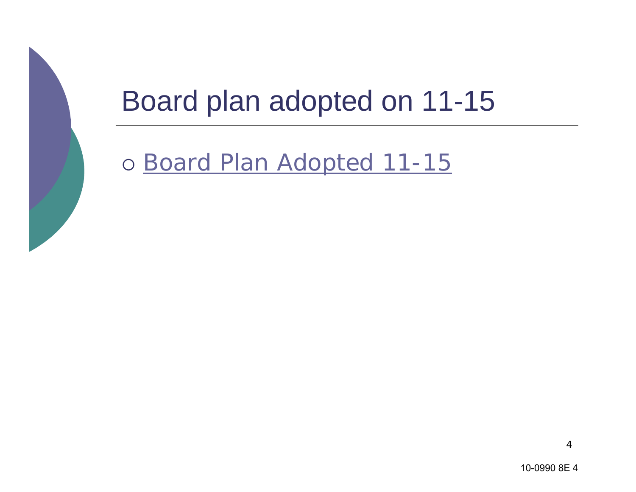

#### Board plan adopted on 11-15

o <u>Board Plan Adopted 11-15</u>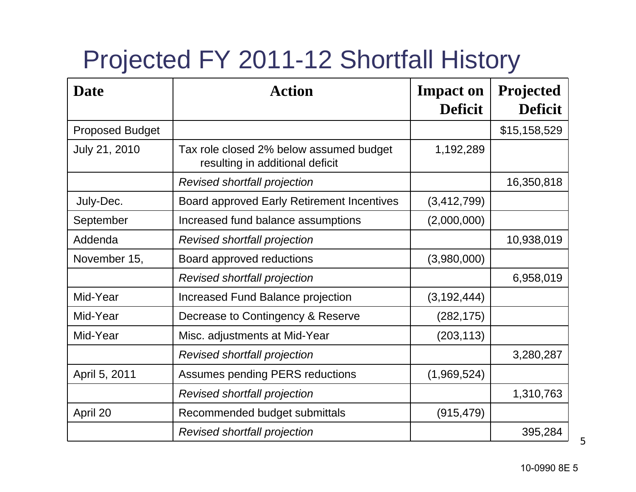#### Projected FY 2011-12 Shortfall History

| <b>Date</b>            | <b>Action</b>                                                              | <b>Impact on</b><br><b>Deficit</b> | <b>Projected</b><br><b>Deficit</b> |
|------------------------|----------------------------------------------------------------------------|------------------------------------|------------------------------------|
| <b>Proposed Budget</b> |                                                                            |                                    | \$15,158,529                       |
| July 21, 2010          | Tax role closed 2% below assumed budget<br>resulting in additional deficit | 1,192,289                          |                                    |
|                        | Revised shortfall projection                                               |                                    | 16,350,818                         |
| July-Dec.              | <b>Board approved Early Retirement Incentives</b>                          | (3, 412, 799)                      |                                    |
| September              | Increased fund balance assumptions                                         | (2,000,000)                        |                                    |
| Addenda                | Revised shortfall projection                                               |                                    | 10,938,019                         |
| November 15,           | Board approved reductions                                                  | (3,980,000)                        |                                    |
|                        | Revised shortfall projection                                               |                                    | 6,958,019                          |
| Mid-Year               | Increased Fund Balance projection                                          | (3, 192, 444)                      |                                    |
| Mid-Year               | Decrease to Contingency & Reserve                                          | (282, 175)                         |                                    |
| Mid-Year               | Misc. adjustments at Mid-Year                                              | (203, 113)                         |                                    |
|                        | Revised shortfall projection                                               |                                    | 3,280,287                          |
| April 5, 2011          | <b>Assumes pending PERS reductions</b>                                     | (1,969,524)                        |                                    |
|                        | Revised shortfall projection                                               |                                    | 1,310,763                          |
| April 20               | Recommended budget submittals                                              | (915, 479)                         |                                    |
|                        | Revised shortfall projection                                               |                                    | 395,284                            |

5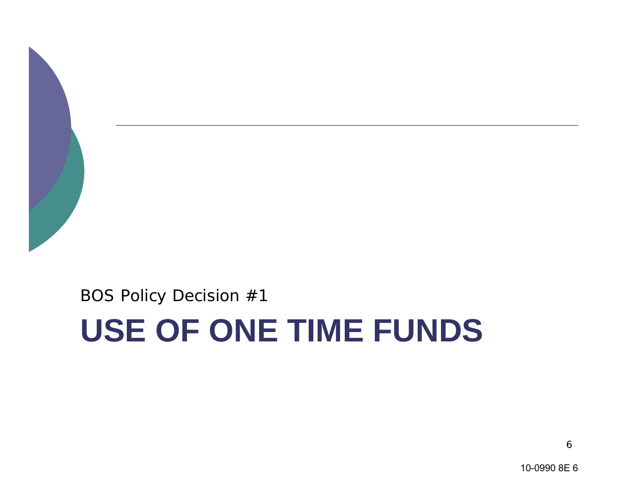

BOS Policy Decision #1

# **USE OF ONE TIME FUNDS**

10-0990 8E 6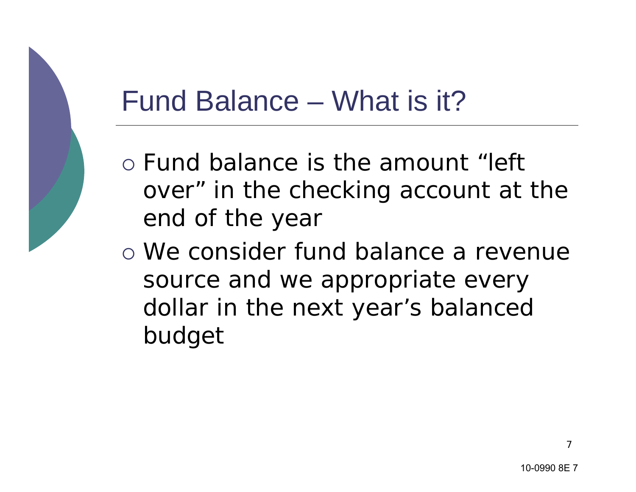#### Fund Balance – What is it?

- o Fund balance is the amount "left over" in the checking account at the end of the year
- o We consider fund balance a revenue source and we appropriate every dollar in the next year's balanced budget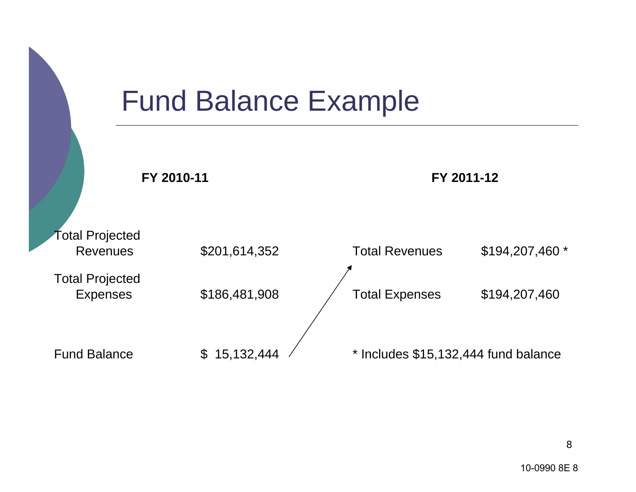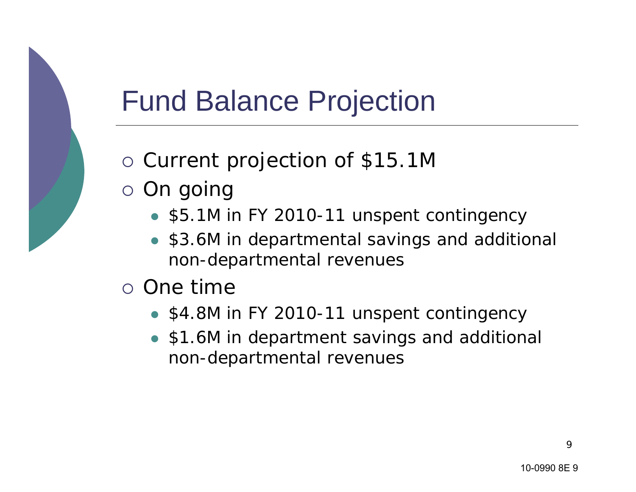## Fund Balance Projection

- o Current projection of \$15.1M
- $\circ$  On going
	- \$5.1M in FY 2010-11 unspent contingency
	- $\bullet$  \$3.6M in departmental savings and additional non-departmental revenues
- $\circ$  One time
	- \$4.8M in FY 2010-11 unspent contingency
	- $\bullet$  \$1.6M in department savings and additional non-departmental revenues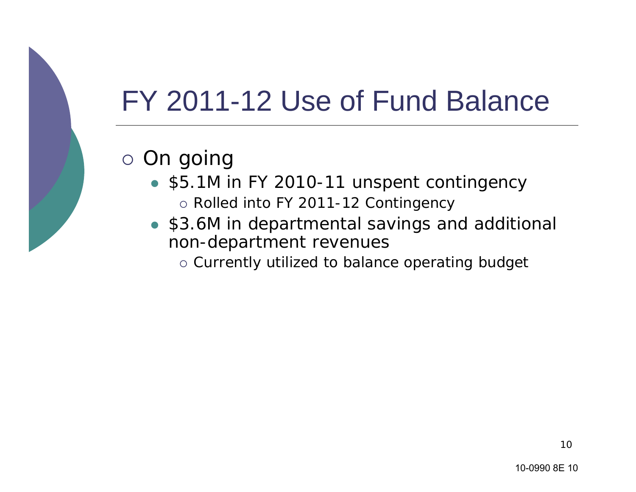## FY 2011-12 Use of Fund Balance

#### $\circ$  On going

- \$5.1M in FY 2010-11 unspent contingency  $\circ$  Rolled into FY 2011-12 Contingency
- \$3.6M in departmental savings and additional non-department revenues
	- $\circ$  Currently utilized to balance operating budget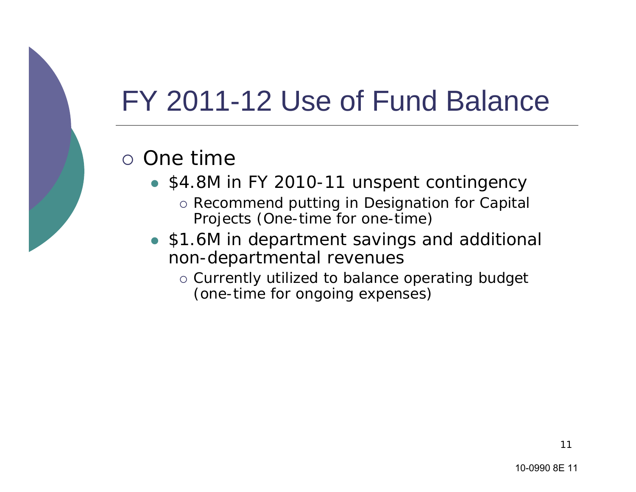## FY 2011-12 Use of Fund Balance

#### $\circ$  One time

- \$4.8M in FY 2010-11 unspent contingency
	- { Recommend putting in Designation for Capital Projects (One-time for one-time)
- \$1.6M in department savings and additional non-departmental revenues
	- $\circ$  Currently utilized to balance operating budget (one-time for ongoing expenses)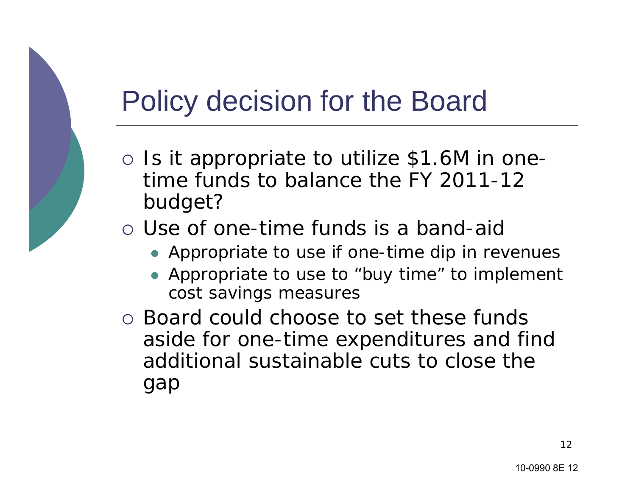#### Policy decision for the Board

- { Is it appropriate to utilize \$1.6M in onetime funds to balance the FY 2011-12 budget?
- o Use of one-time funds is a band-aic
	- Appropriate to use if one-time dip in revenues
	- Appropriate to use to "buy time" to implement cost savings measures
- { Board could choose to set these funds aside for one-time expenditures and find additional sustainable cuts to close the gap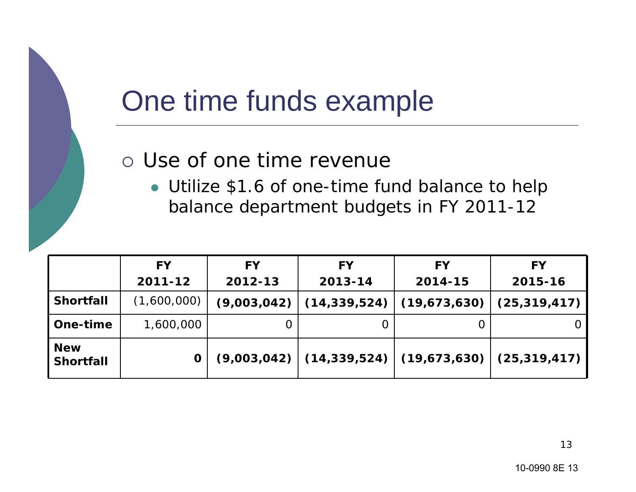#### One time funds example

#### $\circ$  Use of one time revenue

• Utilize \$1.6 of one-time fund balance to help balance department budgets in FY 2011-12

|                                | <b>FY</b>   | <b>FY</b> | <b>FY</b> | <b>FY</b>                                                  | <b>FY</b> |
|--------------------------------|-------------|-----------|-----------|------------------------------------------------------------|-----------|
|                                | 2011-12     | 2012-13   | 2013-14   | 2014-15                                                    | 2015-16   |
| <b>Shortfall</b>               | (1,600,000) |           |           | $(9,003,042)$ $(14,339,524)$ $(19,673,630)$ $(25,319,417)$ |           |
| One-time                       | 1,600,000   |           |           |                                                            |           |
| <b>New</b><br><b>Shortfall</b> |             |           |           | $(9,003,042)$ $(14,339,524)$ $(19,673,630)$ $(25,319,417)$ |           |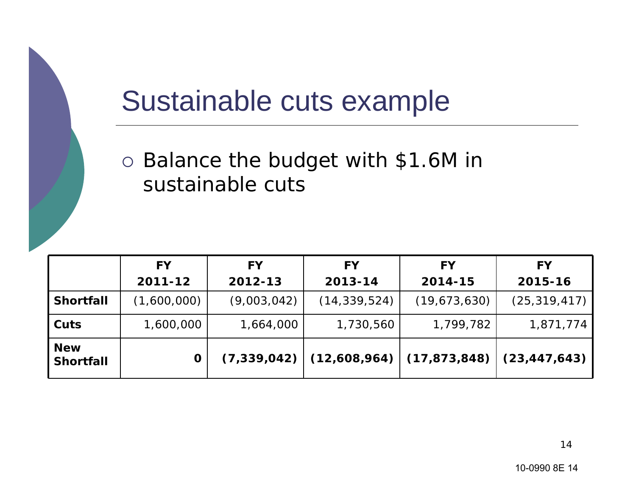#### Sustainable cuts example

o Balance the budget with \$1.6M in sustainable cuts

|                                | <b>FY</b>   | <b>FY</b>     | <b>FY</b>      | <b>FY</b>                     | <b>FY</b>      |
|--------------------------------|-------------|---------------|----------------|-------------------------------|----------------|
|                                | 2011-12     | 2012-13       | 2013-14        | 2014-15                       | 2015-16        |
| <b>Shortfall</b>               | (1,600,000) | (9,003,042)   | (14, 339, 524) | (19,673,630)                  | (25, 319, 417) |
| Cuts                           | 1,600,000   | 1,664,000     | 1,730,560      | 1,799,782                     | 1,871,774      |
| <b>New</b><br><b>Shortfall</b> | 0           | (7, 339, 042) |                | $(12,608,964)$ $(17,873,848)$ | (23, 447, 643) |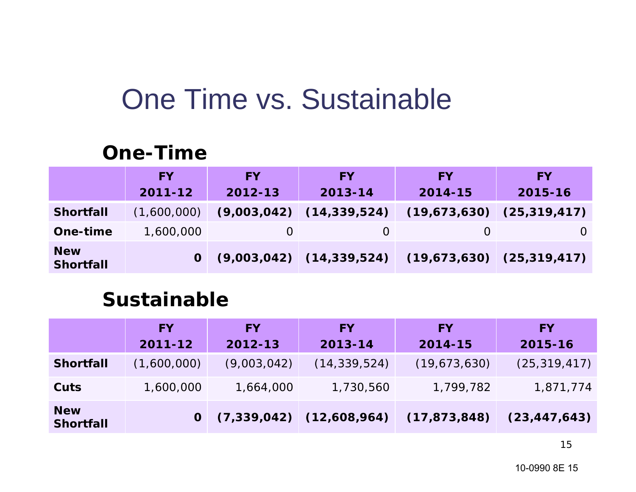#### One Time vs. Sustainable

#### **One-Time**

|                                | <b>FY</b>   | <b>FY</b> | <b>FY</b>                    | <b>FY</b>                                                      | <b>FY</b>                     |
|--------------------------------|-------------|-----------|------------------------------|----------------------------------------------------------------|-------------------------------|
|                                | 2011-12     | 2012-13   | 2013-14                      | 2014-15                                                        | $2015 - 16$                   |
| <b>Shortfall</b>               | (1,600,000) |           | $(9,003,042)$ $(14,339,524)$ |                                                                | $(19,673,630)$ $(25,319,417)$ |
| One-time                       | 1,600,000   |           |                              |                                                                |                               |
| <b>New</b><br><b>Shortfall</b> |             |           |                              | $0$ $(9,003,042)$ $(14,339,524)$ $(19,673,630)$ $(25,319,417)$ |                               |

#### **Sustainable**

|                                | <b>FY</b><br>2011-12 | <b>FY</b><br>2012-13 | <b>FY</b><br>2013-14         | <b>FY</b><br>2014-15 | <b>FY</b><br>2015-16 |
|--------------------------------|----------------------|----------------------|------------------------------|----------------------|----------------------|
| <b>Shortfall</b>               | (1,600,000)          | (9,003,042)          | (14, 339, 524)               | (19,673,630)         | (25, 319, 417)       |
| Cuts                           | 1,600,000            | 1,664,000            | 1,730,560                    | 1,799,782            | 1,871,774            |
| <b>New</b><br><b>Shortfall</b> |                      |                      | $(7,339,042)$ $(12,608,964)$ | (17, 873, 848)       | (23, 447, 643)       |

15

10-0990 8E 15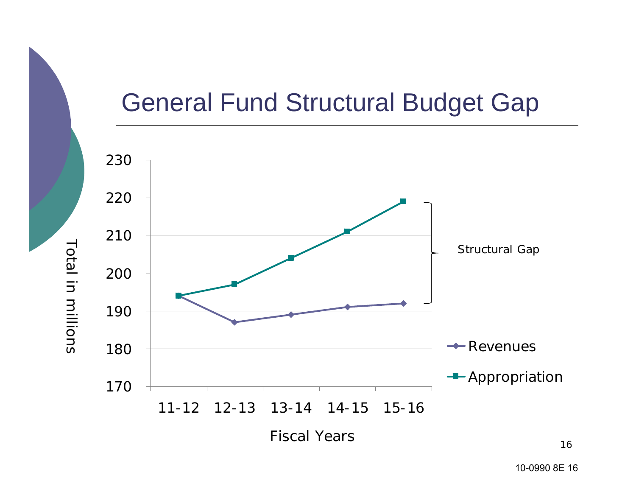#### General Fund Structural Budget Gap



Total in millions

Total in millions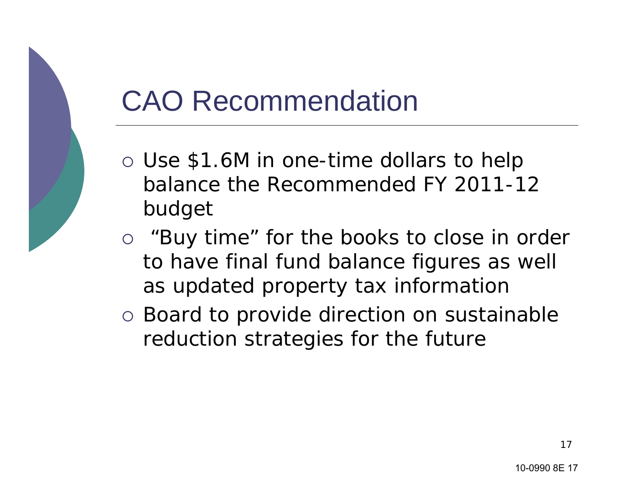#### CAO Recommendation

- o Use \$1.6M in one-time dollars to help balance the Recommended FY 2011-12 budget
- o "Buy time" for the books to close in order to have final fund balance figures as well as updated property tax information
- o Board to provide direction on sustainable reduction strategies for the future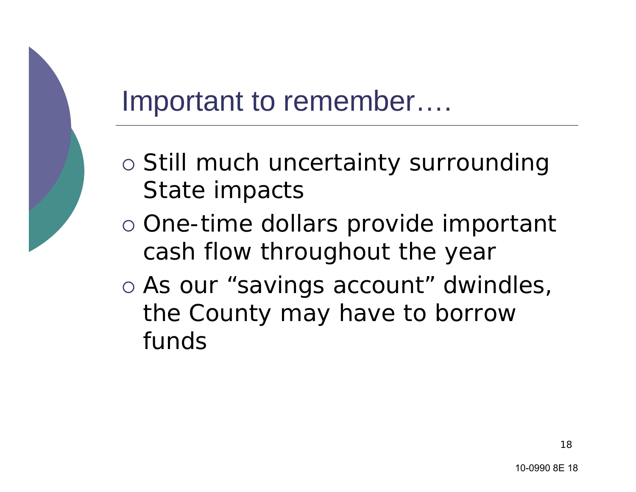#### Important to remember….

- o Still much uncertainty surrounding State impacts
- o One-time dollars provide important cash flow throughout the year
- o As our "savings account" dwindles, the County may have to borrow funds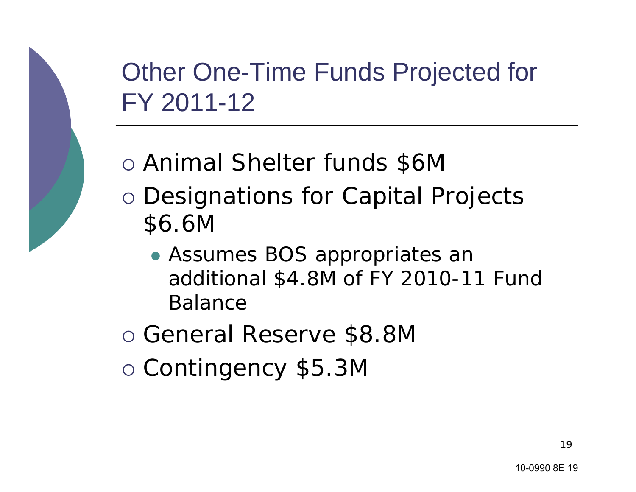Other One-Time Funds Projected for FY 2011-12

- { Animal Shelter funds \$6M
- o Designations for Capital Projects \$6.6M
	- Assumes BOS appropriates an additional \$4.8M of FY 2010-11 Fund Balance

{ General Reserve \$8.8M

{ Contingency \$5.3M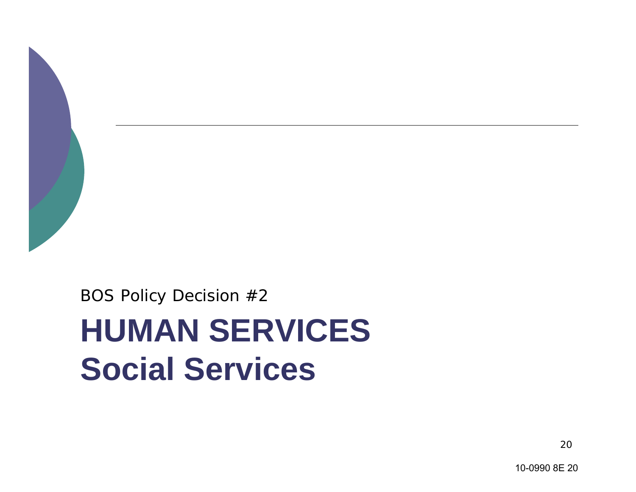

BOS Policy Decision #2

## **HUMAN SERVICES Social Services**

20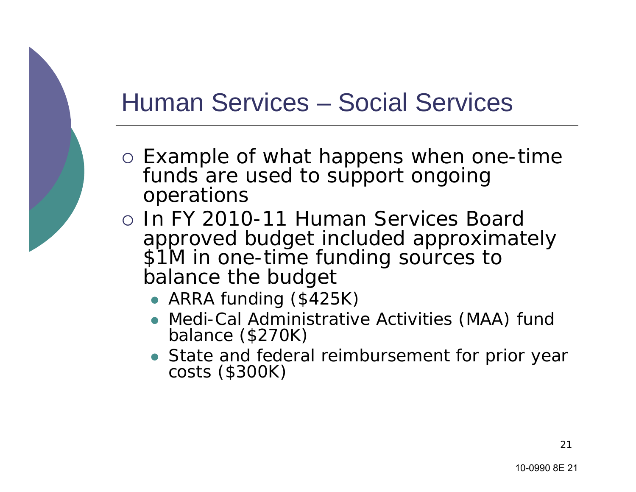#### Human Services – Social Services

- o Example of what happens when one-time funds are used to support ongoing operations
- { In FY 2010-11 Human Services Board approved budget included approximately \$1M in one-time funding sources to balance the budget
	- ARRA funding (\$425K)
	- Medi-Cal Administrative Activities (MAA) fund balance (\$270K)
	- State and federal reimbursement for prior year<br>costs (\$300K)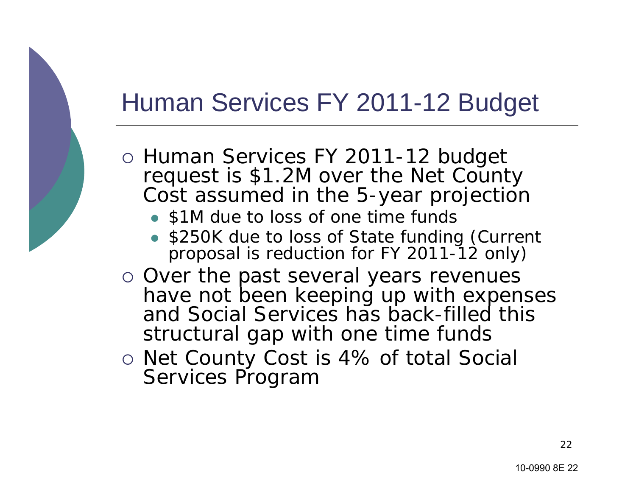#### Human Services FY 2011-12 Budget

- o Human Services FY 2011-12 budget request is \$1.2M over the Net County Cost assumed in the 5-year projection
	- \$1M due to loss of one time funds
	- z \$250K due to loss of State funding (Current proposal is reduction for FY 2011-12 only)
- o Over the past several years revenues have not been keeping up with expenses and Social Services has back-filled this structural gap with one time funds
- { Net County Cost is 4% of total Social Services Program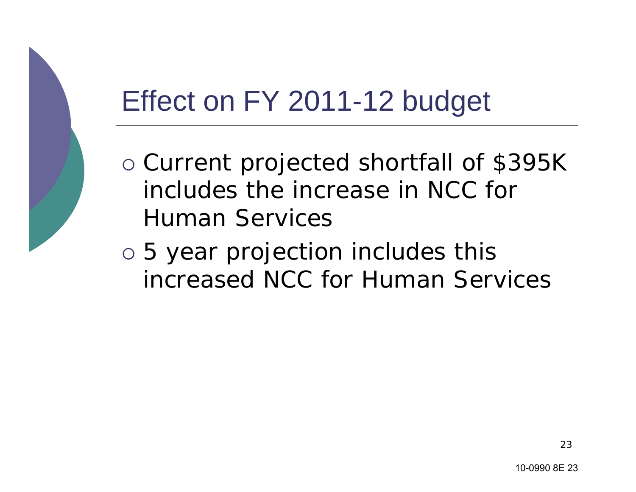## Effect on FY 2011-12 budget

- o Current projected shortfall of \$395K includes the increase in NCC for Human Services
- $\circ$  5 year projection includes this increased NCC for Human Services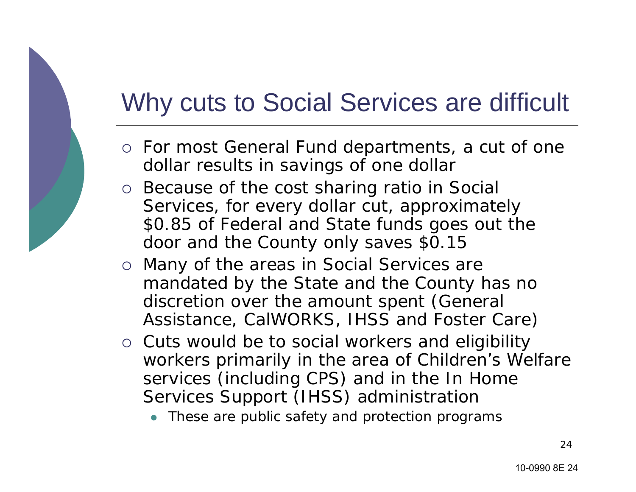#### Why cuts to Social Services are difficult

- $\circ~$  For most General Fund departments, a cut of one dollar results in savings of one dollar
- o Because of the cost sharing ratio in Social Services, for every dollar cut, approximately \$0.85 of Federal and State funds goes out the door and the County only saves \$0.15
- $\circ$  Many of the areas in Social Services are mandated by the State and the County has no discretion over the amount spent (General Assistance, CalWORKS, IHSS and Foster Care)
- o Cuts would be to social workers and eligibility workers primarily in the area of Children's Welfare services (including CPS) and in the In Home Services Support (IHSS) administration
	- $\bullet$  These are public safety and protection programs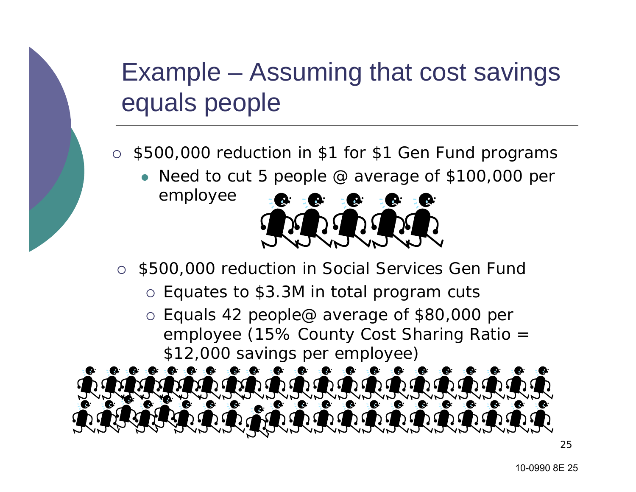#### Example – Assuming that cost savings equals people

- { \$500,000 reduction in \$1 for \$1 Gen Fund programs
	- Need to cut 5 people  $@$  average of \$100,000 per employee



- $\bigcap$  \$500,000 reduction in Social Services Gen Fund
	- $\circ$  Equates to \$3.3M in total program cuts
	- $\circ$  Equals 42 people@ average of \$80,000 per employee (15% County Cost Sharing Ratio = \$12,000 savings per employee)



25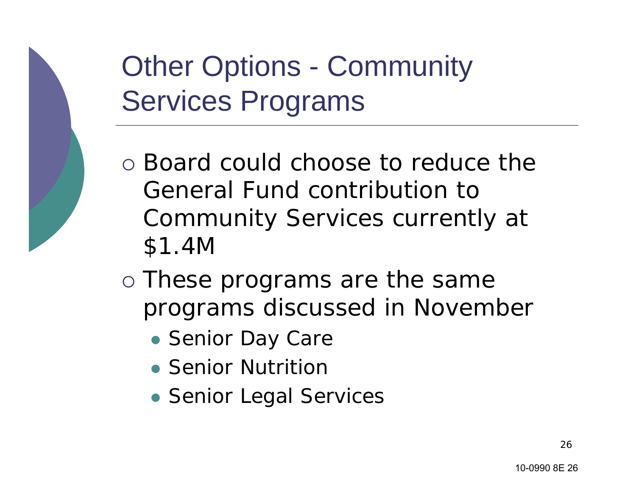## **Other Options - Community** Services Programs

- $\circ$  Board could choose to reduce the General Fund contribution to Community Services currently at \$1.4M
- o These programs are the same programs discussed in November
	- Senior Day Care
	- Senior Nutrition
	- Senior Legal Services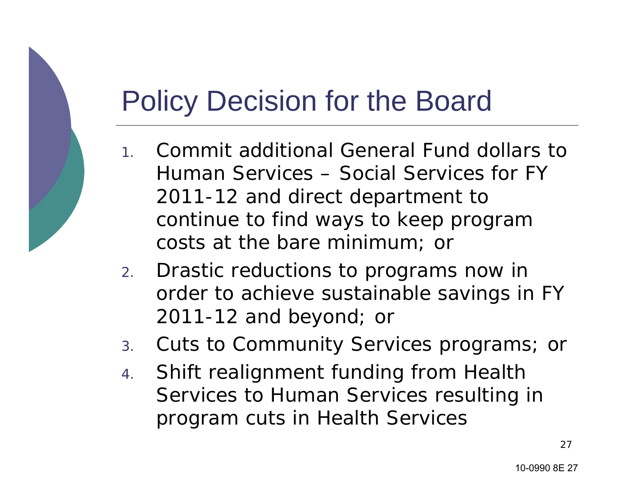#### Policy Decision for the Board

- 1. Commit additional General Fund dollars to Human Services – Social Services for FY 2011-12 and direct department to continue to find ways to keep program costs at the bare minimum; or
- 2. Drastic reductions to programs now in order to achieve sustainable savings in FY 2011-12 and beyond; or
- 3.Cuts to Community Services programs; or
- 4. Shift realignment funding from Health Services to Human Services resulting in program cuts in Health Services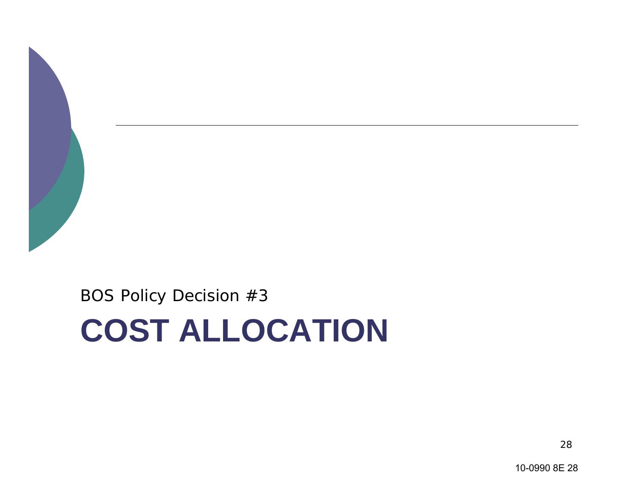

BOS Policy Decision #3

# **COST ALLOCATION**

10-0990 8E 28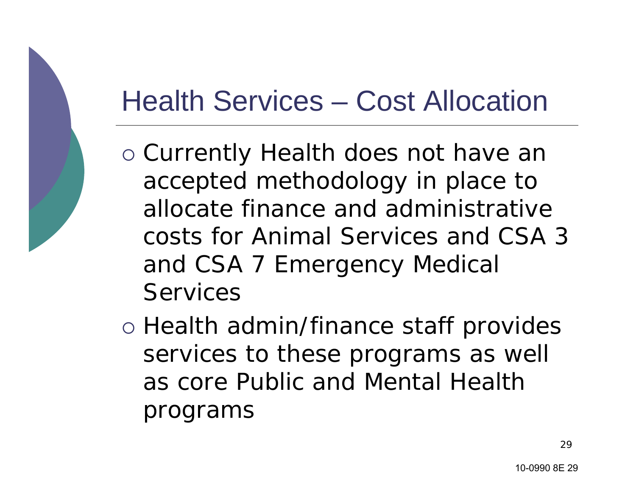#### Health Services – Cost Allocation

- o Currently Health does not have an accepted methodology in place to allocate finance and administrative costs for Animal Services and CSA 3 and CSA 7 Emergency Medical **Services**
- o Health admin/finance staff provides services to these programs as well as core Public and Mental Health programs

29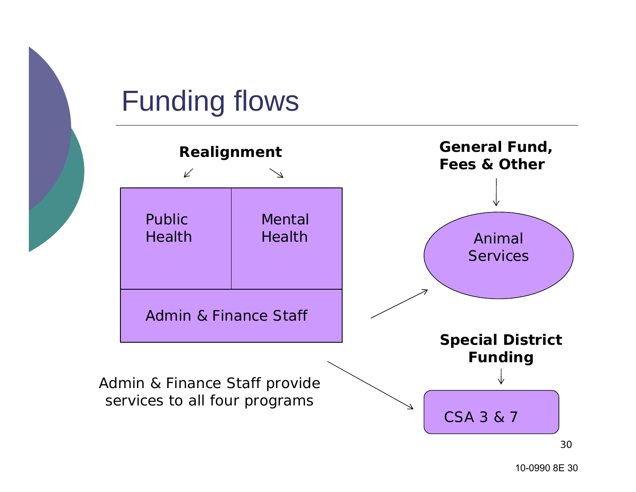

#### Funding flows

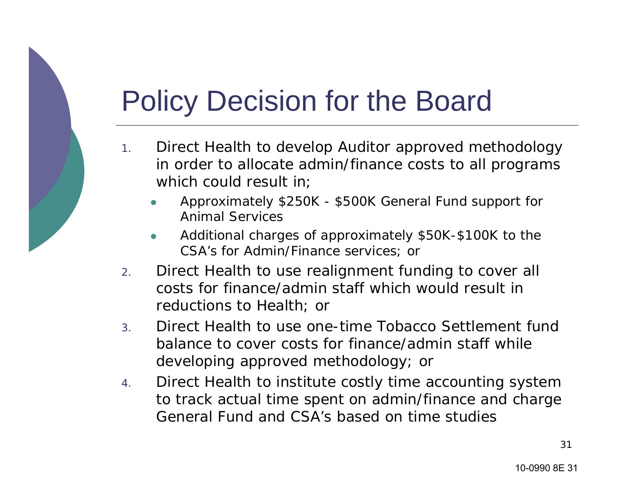#### Policy Decision for the Board

- 1. Direct Health to develop Auditor approved methodology in order to allocate admin/finance costs to all programs which could result in;
	- z Approximately \$250K - \$500K General Fund support for Animal Services
	- z Additional charges of approximately \$50K-\$100K to the CSA's for Admin/Finance services; or
- 2. Direct Health to use realignment funding to cover all costs for finance/admin staff which would result in reductions to Health; or
- 3. Direct Health to use one-time Tobacco Settlement fund balance to cover costs for finance/admin staff while developing approved methodology; or
- 4. Direct Health to institute costly time accounting system to track actual time spent on admin/finance and charge General Fund and CSA's based on time studies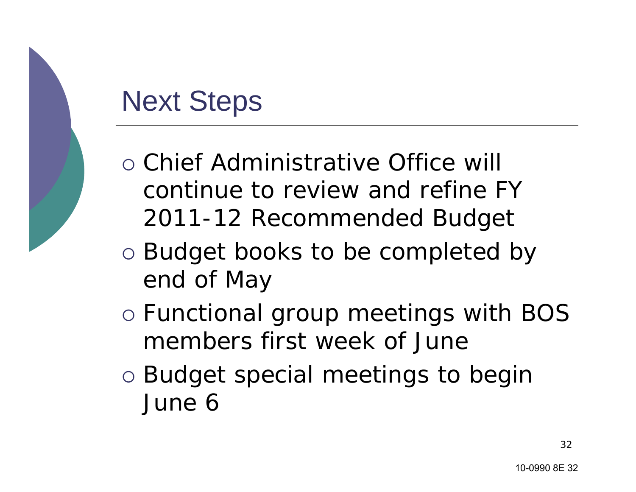#### Next Steps

- { Chief Administrative Office will continue to review and refine FY 2011-12 Recommended Budget
- $\circ$  Budget books to be completed by end of May
- $\circ$  Functional group meetings with BOS members first week of June
- o Budget special meetings to begin June 6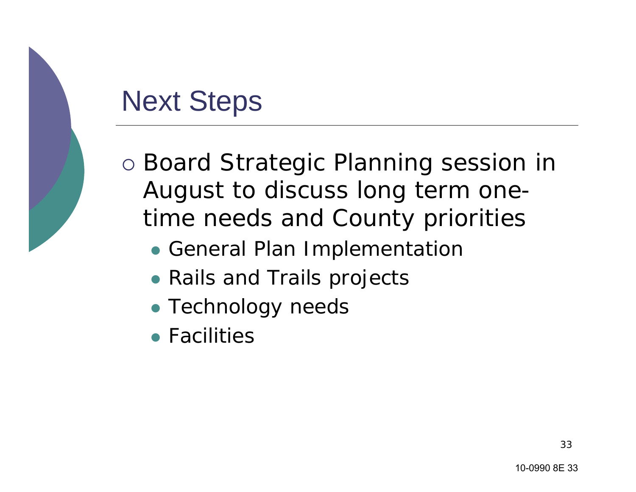#### Next Steps

o Board Strategic Planning session in August to discuss long term onetime needs and County priorities

- General Plan Implementation
- Rails and Trails projects
- Technology needs
- Facilities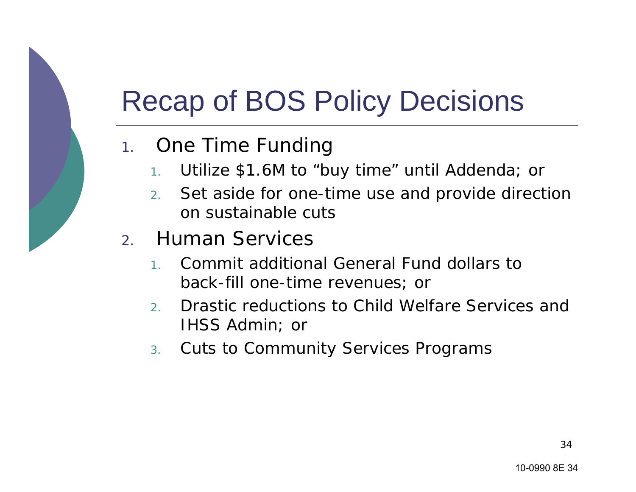## Recap of BOS Policy Decisions

- 1. One Time Funding
	- 1.Utilize \$1.6M to "buy time" until Addenda; or
	- 2. Set aside for one-time use and provide direction on sustainable cuts
- 2. Human Services
	- 1. Commit additional General Fund dollars to back-fill one-time revenues; or
	- 2. Drastic reductions to Child Welfare Services and IHSS Admin; or
	- 3.Cuts to Community Services Programs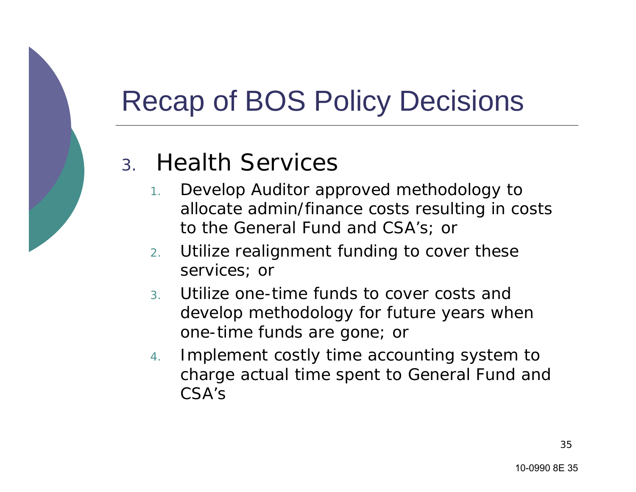## Recap of BOS Policy Decisions

#### 3. Health Services

- 1. Develop Auditor approved methodology to allocate admin/finance costs resulting in costs to the General Fund and CSA's; or
- 2. Utilize realignment funding to cover these services; or
- 3. Utilize one-time funds to cover costs and develop methodology for future years when one-time funds are gone; or
- 4. Implement costly time accounting system to charge actual time spent to General Fund and CSA's